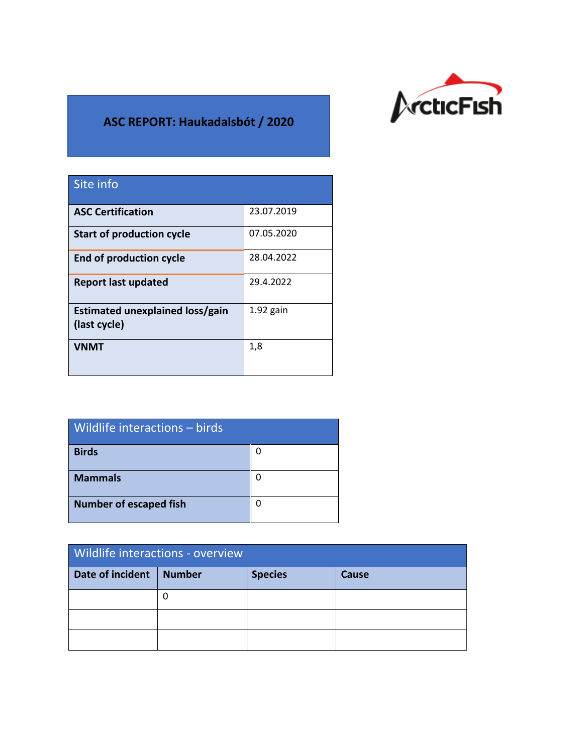

## **ASC REPORT: Haukadalsbót / 2020**

| Site info                                       |             |
|-------------------------------------------------|-------------|
| <b>ASC Certification</b>                        | 23.07.2019  |
| <b>Start of production cycle</b>                | 07.05.2020  |
| <b>End of production cycle</b>                  | 28.04.2022  |
| <b>Report last updated</b>                      | 29.4.2022   |
| Estimated unexplained loss/gain<br>(last cycle) | $1.92$ gain |
| VNMT                                            | 1,8         |

| Wildlife interactions - birds |   |
|-------------------------------|---|
| <b>Birds</b>                  | 0 |
| <b>Mammals</b>                | 0 |
| <b>Number of escaped fish</b> | 0 |

| Wildlife interactions - overview |               |                |       |  |
|----------------------------------|---------------|----------------|-------|--|
| Date of incident                 | <b>Number</b> | <b>Species</b> | Cause |  |
|                                  | 0             |                |       |  |
|                                  |               |                |       |  |
|                                  |               |                |       |  |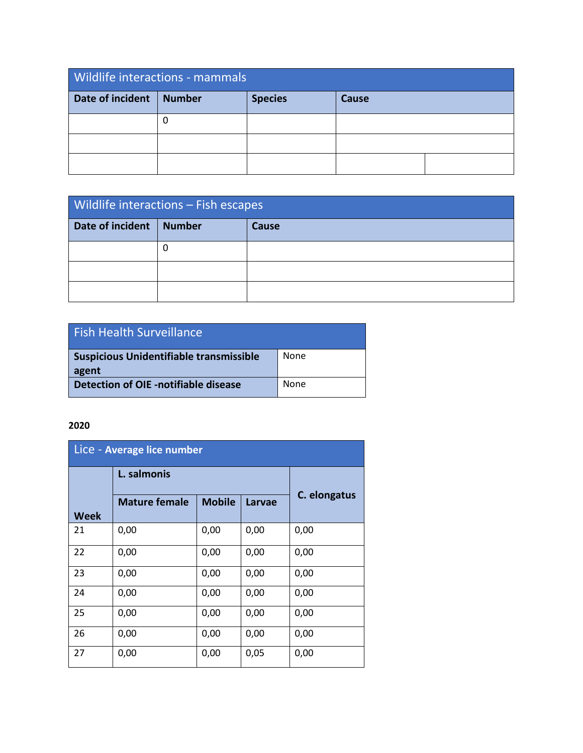| <b>Wildlife interactions - mammals</b> |        |                |       |  |  |
|----------------------------------------|--------|----------------|-------|--|--|
| Date of incident                       | Number | <b>Species</b> | Cause |  |  |
|                                        |        |                |       |  |  |
|                                        |        |                |       |  |  |
|                                        |        |                |       |  |  |

| Wildlife interactions - Fish escapes |               |       |  |
|--------------------------------------|---------------|-------|--|
| Date of incident                     | <b>Number</b> | Cause |  |
|                                      |               |       |  |
|                                      |               |       |  |
|                                      |               |       |  |

| <b>Fish Health Surveillance</b>                  |      |
|--------------------------------------------------|------|
| Suspicious Unidentifiable transmissible<br>agent | None |
| Detection of OIE -notifiable disease             | None |

## **2020**

| Lice - Average lice number |                      |               |               |              |
|----------------------------|----------------------|---------------|---------------|--------------|
|                            | L. salmonis          |               |               |              |
| Week                       | <b>Mature female</b> | <b>Mobile</b> | <b>Larvae</b> | C. elongatus |
| 21                         | 0,00                 | 0,00          | 0,00          | 0,00         |
| 22                         | 0,00                 | 0,00          | 0,00          | 0,00         |
| 23                         | 0,00                 | 0,00          | 0,00          | 0,00         |
| 24                         | 0,00                 | 0,00          | 0,00          | 0,00         |
| 25                         | 0,00                 | 0,00          | 0,00          | 0,00         |
| 26                         | 0,00                 | 0,00          | 0,00          | 0,00         |
| 27                         | 0,00                 | 0,00          | 0,05          | 0,00         |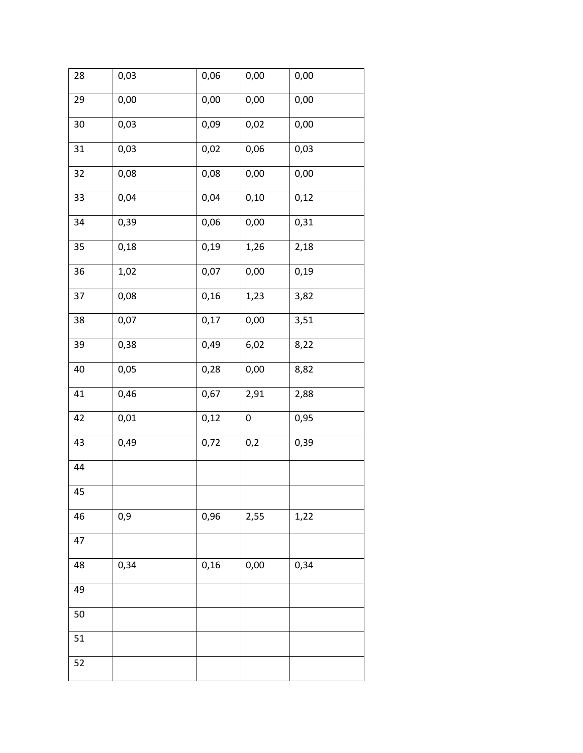| 28 | 0,03 | 0,06 | 0,00 | 0,00 |
|----|------|------|------|------|
| 29 | 0,00 | 0,00 | 0,00 | 0,00 |
| 30 | 0,03 | 0,09 | 0,02 | 0,00 |
| 31 | 0,03 | 0,02 | 0,06 | 0,03 |
| 32 | 0,08 | 0,08 | 0,00 | 0,00 |
| 33 | 0,04 | 0,04 | 0,10 | 0,12 |
| 34 | 0,39 | 0,06 | 0,00 | 0,31 |
| 35 | 0,18 | 0,19 | 1,26 | 2,18 |
| 36 | 1,02 | 0,07 | 0,00 | 0,19 |
| 37 | 0,08 | 0,16 | 1,23 | 3,82 |
| 38 | 0,07 | 0,17 | 0,00 | 3,51 |
| 39 | 0,38 | 0,49 | 6,02 | 8,22 |
| 40 | 0,05 | 0,28 | 0,00 | 8,82 |
| 41 | 0,46 | 0,67 | 2,91 | 2,88 |
| 42 | 0,01 | 0,12 | 0    | 0,95 |
| 43 | 0,49 | 0,72 | 0,2  | 0,39 |
| 44 |      |      |      |      |
| 45 |      |      |      |      |
| 46 | 0,9  | 0,96 | 2,55 | 1,22 |
| 47 |      |      |      |      |
| 48 | 0,34 | 0,16 | 0,00 | 0,34 |
| 49 |      |      |      |      |
| 50 |      |      |      |      |
| 51 |      |      |      |      |
| 52 |      |      |      |      |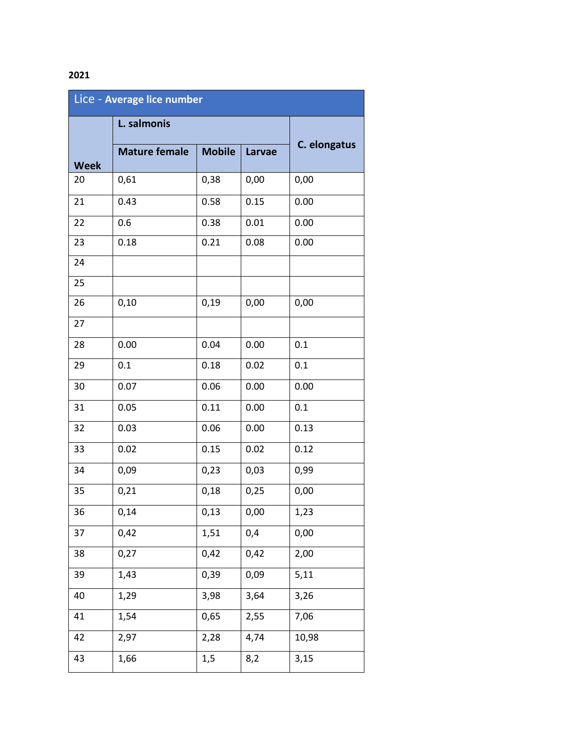## 

| Lice - Average lice number |                      |               |        |              |
|----------------------------|----------------------|---------------|--------|--------------|
|                            | L. salmonis          |               |        |              |
| <b>Week</b>                | <b>Mature female</b> | <b>Mobile</b> | Larvae | C. elongatus |
| 20                         | 0,61                 | 0,38          | 0,00   | 0,00         |
| 21                         | 0.43                 | 0.58          | 0.15   | 0.00         |
| 22                         | 0.6                  | 0.38          | 0.01   | 0.00         |
| 23                         | 0.18                 | 0.21          | 0.08   | 0.00         |
| 24                         |                      |               |        |              |
| 25                         |                      |               |        |              |
| 26                         | 0,10                 | 0,19          | 0,00   | 0,00         |
| 27                         |                      |               |        |              |
| 28                         | 0.00                 | 0.04          | 0.00   | 0.1          |
| 29                         | 0.1                  | 0.18          | 0.02   | 0.1          |
| 30                         | 0.07                 | 0.06          | 0.00   | 0.00         |
| 31                         | 0.05                 | 0.11          | 0.00   | 0.1          |
| 32                         | 0.03                 | 0.06          | 0.00   | 0.13         |
| 33                         | 0.02                 | 0.15          | 0.02   | 0.12         |
| 34                         | 0,09                 | 0,23          | 0,03   | 0,99         |
| 35                         | 0,21                 | 0,18          | 0,25   | 0,00         |
| 36                         | 0,14                 | 0,13          | 0,00   | 1,23         |
| 37                         | 0,42                 | 1,51          | 0,4    | 0,00         |
| 38                         | 0,27                 | 0,42          | 0,42   | 2,00         |
| 39                         | 1,43                 | 0,39          | 0,09   | 5,11         |
| 40                         | 1,29                 | 3,98          | 3,64   | 3,26         |
| 41                         | 1,54                 | 0,65          | 2,55   | 7,06         |
| 42                         | 2,97                 | 2,28          | 4,74   | 10,98        |
| 43                         | 1,66                 | 1,5           | 8,2    | 3,15         |